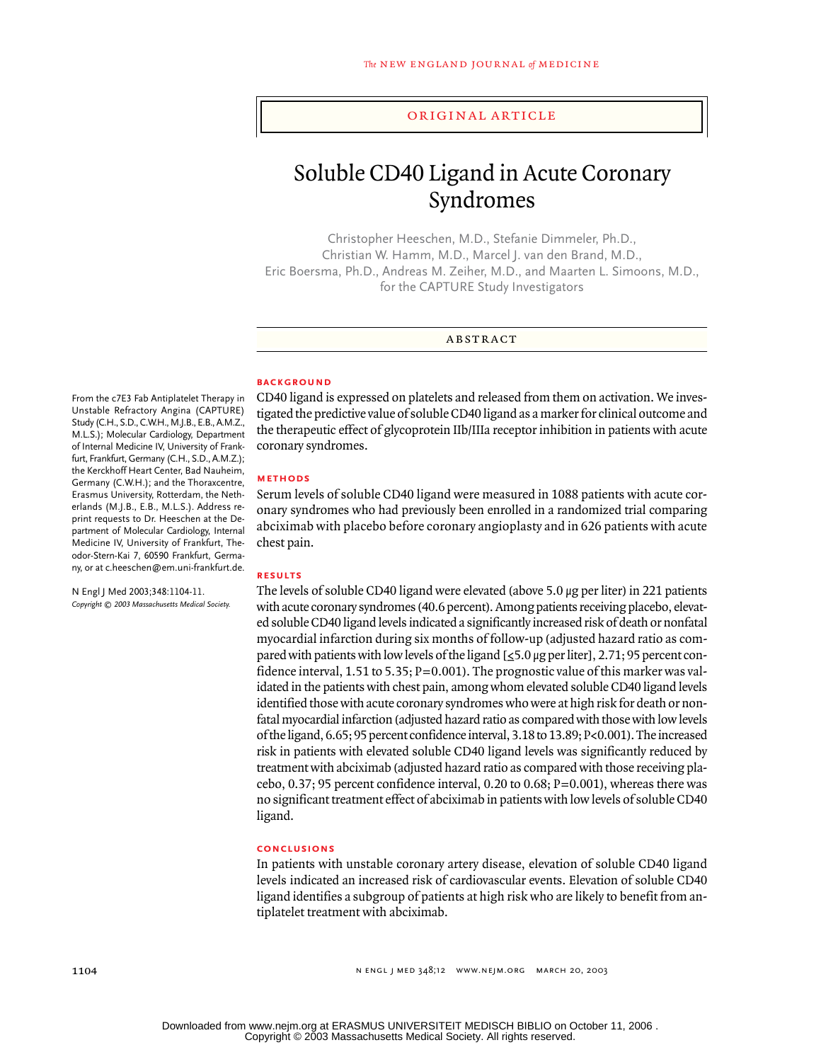### original article

# Soluble CD40 Ligand in Acute Coronary Syndromes

Christopher Heeschen, M.D., Stefanie Dimmeler, Ph.D., Christian W. Hamm, M.D., Marcel J. van den Brand, M.D., Eric Boersma, Ph.D., Andreas M. Zeiher, M.D., and Maarten L. Simoons, M.D., for the CAPTURE Study Investigators

#### abstract

#### **BACKGROUND**

From the c7E3 Fab Antiplatelet Therapy in Unstable Refractory Angina (CAPTURE) Study (C.H., S.D., C.W.H., M.J.B., E.B., A.M.Z., M.L.S.); Molecular Cardiology, Department of Internal Medicine IV, University of Frankfurt, Frankfurt, Germany (C.H., S.D., A.M.Z.); the Kerckhoff Heart Center, Bad Nauheim, Germany (C.W.H.); and the Thoraxcentre, Erasmus University, Rotterdam, the Netherlands (M.J.B., E.B., M.L.S.). Address reprint requests to Dr. Heeschen at the Department of Molecular Cardiology, Internal Medicine IV, University of Frankfurt, Theodor-Stern-Kai 7, 60590 Frankfurt, Germany, or at c.heeschen@em.uni-frankfurt.de.

N Engl J Med 2003;348:1104-11. *Copyright © 2003 Massachusetts Medical Society.* CD40 ligand is expressed on platelets and released from them on activation. We investigated the predictive value of soluble CD40 ligand as a marker for clinical outcome and the therapeutic effect of glycoprotein IIb/IIIa receptor inhibition in patients with acute coronary syndromes.

#### **methods**

Serum levels of soluble CD40 ligand were measured in 1088 patients with acute coronary syndromes who had previously been enrolled in a randomized trial comparing abciximab with placebo before coronary angioplasty and in 626 patients with acute chest pain.

#### **results**

The levels of soluble CD40 ligand were elevated (above 5.0 µg per liter) in 221 patients with acute coronary syndromes (40.6 percent). Among patients receiving placebo, elevated soluble CD40 ligand levels indicated a significantly increased risk of death or nonfatal myocardial infarction during six months of follow-up (adjusted hazard ratio as compared with patients with low levels of the ligand [≤5.0 µg per liter], 2.71; 95 percent confidence interval, 1.51 to 5.35;  $P=0.001$ ). The prognostic value of this marker was validated in the patients with chest pain, among whom elevated soluble CD40 ligand levels identified those with acute coronary syndromes who were at high risk for death or nonfatal myocardial infarction (adjusted hazard ratio as compared with those with low levels of the ligand, 6.65; 95 percent confidence interval, 3.18 to 13.89; P<0.001). The increased risk in patients with elevated soluble CD40 ligand levels was significantly reduced by treatment with abciximab (adjusted hazard ratio as compared with those receiving placebo, 0.37; 95 percent confidence interval, 0.20 to 0.68; P=0.001), whereas there was no significant treatment effect of abciximab in patients with low levels of soluble CD40 ligand.

# **conclusions**

In patients with unstable coronary artery disease, elevation of soluble CD40 ligand levels indicated an increased risk of cardiovascular events. Elevation of soluble CD40 ligand identifies a subgroup of patients at high risk who are likely to benefit from antiplatelet treatment with abciximab.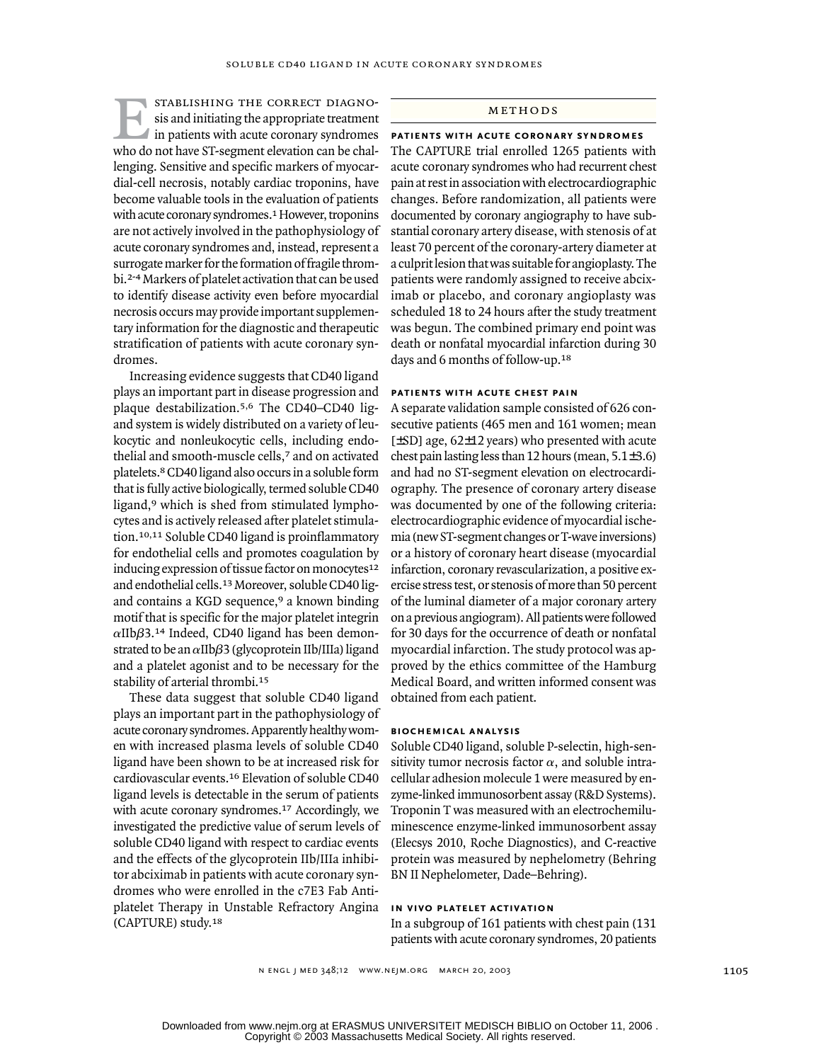stablishing the correct diagnosis and initiating the appropriate treatment If in patients with acute coronary syndromes who do not have ST-segment elevation can be challenging. Sensitive and specific markers of myocardial-cell necrosis, notably cardiac troponins, have become valuable tools in the evaluation of patients with acute coronary syndromes.<sup>1</sup> However, troponins are not actively involved in the pathophysiology of acute coronary syndromes and, instead, represent a surrogate marker for the formation of fragile thrombi.2-4 Markers of platelet activation that can be used to identify disease activity even before myocardial necrosis occurs may provide important supplementary information for the diagnostic and therapeutic stratification of patients with acute coronary syndromes. SOLUBLE CD40 LIGAND IN ACUTE CORONARY SYNDROMES<br>
STABLISHING THE CORRECT DIAGNO-<br>
sis and initiating the appropriate treatment<br>
in patients with acute coronary syndromes<br>
PATIENTS WITH ACUTE CORONA

Increasing evidence suggests that CD40 ligand plays an important part in disease progression and plaque destabilization.5,6 The CD40–CD40 ligand system is widely distributed on a variety of leukocytic and nonleukocytic cells, including endothelial and smooth-muscle cells,7 and on activated platelets.8 CD40 ligand also occurs in a soluble form that is fully active biologically, termed soluble CD40 ligand,9 which is shed from stimulated lymphocytes and is actively released after platelet stimulation.10,11 Soluble CD40 ligand is proinflammatory for endothelial cells and promotes coagulation by inducing expression of tissue factor on monocytes<sup>12</sup> and endothelial cells.13 Moreover, soluble CD40 ligand contains a KGD sequence,<sup>9</sup> a known binding motif that is specific for the major platelet integrin  $\alpha$ IIb $\beta$ 3.<sup>14</sup> Indeed, CD40 ligand has been demonstrated to be an *a*IIb*b*3 (glycoprotein IIb/IIIa) ligand and a platelet agonist and to be necessary for the stability of arterial thrombi.<sup>15</sup>

These data suggest that soluble CD40 ligand plays an important part in the pathophysiology of acute coronary syndromes. Apparently healthy women with increased plasma levels of soluble CD40 ligand have been shown to be at increased risk for cardiovascular events.16 Elevation of soluble CD40 ligand levels is detectable in the serum of patients with acute coronary syndromes.17 Accordingly, we investigated the predictive value of serum levels of soluble CD40 ligand with respect to cardiac events and the effects of the glycoprotein IIb/IIIa inhibitor abciximab in patients with acute coronary syndromes who were enrolled in the c7E3 Fab Antiplatelet Therapy in Unstable Refractory Angina (CAPTURE) study.<sup>18</sup>

**patients with acute coronary syndromes** The CAPTURE trial enrolled 1265 patients with acute coronary syndromes who had recurrent chest pain at rest in association with electrocardiographic changes. Before randomization, all patients were documented by coronary angiography to have substantial coronary artery disease, with stenosis of at least 70 percent of the coronary-artery diameter at a culprit lesion that was suitable for angioplasty. The patients were randomly assigned to receive abciximab or placebo, and coronary angioplasty was scheduled 18 to 24 hours after the study treatment was begun. The combined primary end point was death or nonfatal myocardial infarction during 30 days and 6 months of follow-up.<sup>18</sup>

# **patients with acute chest pain**

A separate validation sample consisted of 626 consecutive patients (465 men and 161 women; mean [±SD] age, 62±12 years) who presented with acute chest pain lasting less than 12 hours (mean,  $5.1\pm3.6$ ) and had no ST-segment elevation on electrocardiography. The presence of coronary artery disease was documented by one of the following criteria: electrocardiographic evidence of myocardial ischemia (new ST-segment changes or T-wave inversions) or a history of coronary heart disease (myocardial infarction, coronary revascularization, a positive exercise stress test, or stenosis of more than 50 percent of the luminal diameter of a major coronary artery on a previous angiogram). All patients were followed for 30 days for the occurrence of death or nonfatal myocardial infarction. The study protocol was approved by the ethics committee of the Hamburg Medical Board, and written informed consent was obtained from each patient.

## **biochemical analysis**

Soluble CD40 ligand, soluble P-selectin, high-sensitivity tumor necrosis factor  $\alpha$ , and soluble intracellular adhesion molecule 1 were measured by enzyme-linked immunosorbent assay (R&D Systems). Troponin T was measured with an electrochemiluminescence enzyme-linked immunosorbent assay (Elecsys 2010, Roche Diagnostics), and C-reactive protein was measured by nephelometry (Behring BN II Nephelometer, Dade–Behring).

# **in vivo platelet activation**

In a subgroup of 161 patients with chest pain (131 patients with acute coronary syndromes, 20 patients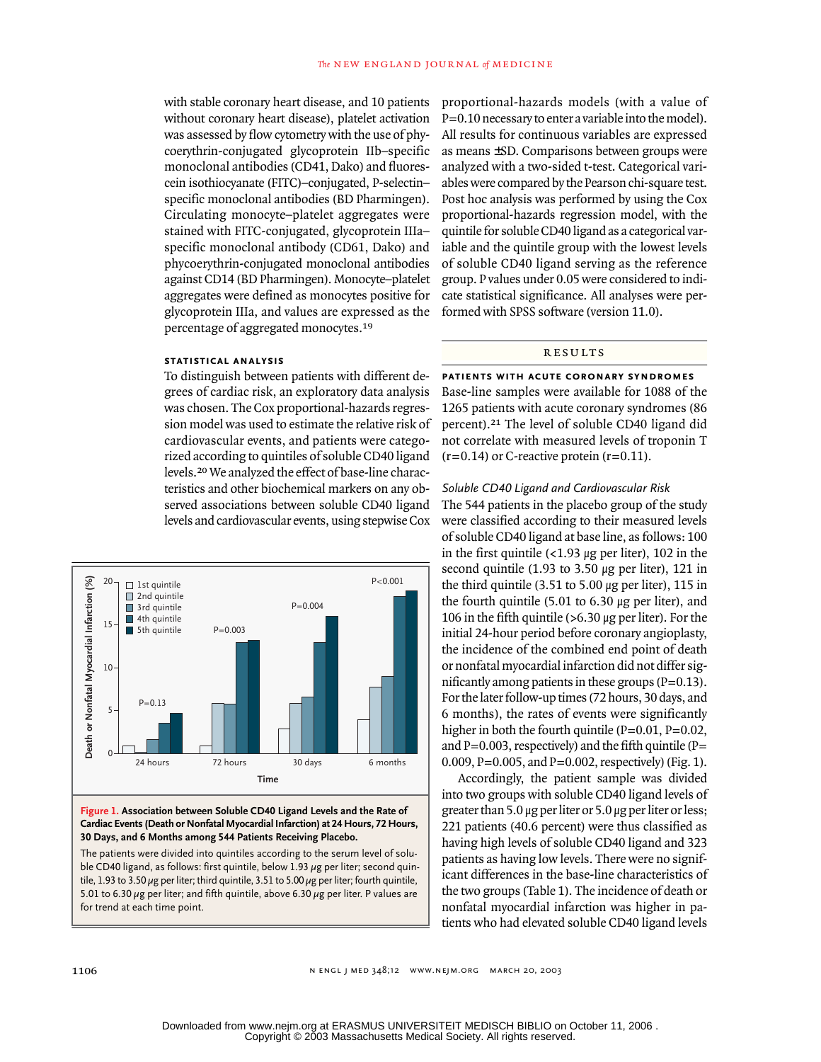with stable coronary heart disease, and 10 patients without coronary heart disease), platelet activation was assessed by flow cytometry with the use of phycoerythrin-conjugated glycoprotein IIb–specific monoclonal antibodies (CD41, Dako) and fluorescein isothiocyanate (FITC)–conjugated, P-selectin– specific monoclonal antibodies (BD Pharmingen). Circulating monocyte–platelet aggregates were stained with FITC-conjugated, glycoprotein IIIa– specific monoclonal antibody (CD61, Dako) and phycoerythrin-conjugated monoclonal antibodies against CD14 (BD Pharmingen). Monocyte–platelet aggregates were defined as monocytes positive for glycoprotein IIIa, and values are expressed as the percentage of aggregated monocytes.<sup>19</sup>

# **statistical analysis**

To distinguish between patients with different degrees of cardiac risk, an exploratory data analysis was chosen. The Cox proportional-hazards regression model was used to estimate the relative risk of cardiovascular events, and patients were categorized according to quintiles of soluble CD40 ligand levels.20 We analyzed the effect of base-line characteristics and other biochemical markers on any observed associations between soluble CD40 ligand levels and cardiovascular events, using stepwise Cox



**Figure 1. Association between Soluble CD40 Ligand Levels and the Rate of Cardiac Events (Death or Nonfatal Myocardial Infarction) at 24 Hours, 72 Hours, 30 Days, and 6 Months among 544 Patients Receiving Placebo.**

The patients were divided into quintiles according to the serum level of soluble CD40 ligand, as follows: first quintile, below 1.93  $\mu$ g per liter; second quintile, 1.93 to 3.50  $\mu$ g per liter; third quintile, 3.51 to 5.00  $\mu$ g per liter; fourth quintile, 5.01 to 6.30  $\mu$ g per liter; and fifth quintile, above 6.30  $\mu$ g per liter. P values are for trend at each time point.

proportional-hazards models (with a value of P=0.10 necessary to enter a variable into the model). All results for continuous variables are expressed as means ±SD. Comparisons between groups were analyzed with a two-sided t-test. Categorical variables were compared by the Pearson chi-square test. Post hoc analysis was performed by using the Cox proportional-hazards regression model, with the quintile for soluble CD40 ligand as a categorical variable and the quintile group with the lowest levels of soluble CD40 ligand serving as the reference group. P values under 0.05 were considered to indicate statistical significance. All analyses were performed with SPSS software (version 11.0).

#### results

**patients with acute coronary syndromes**

Base-line samples were available for 1088 of the 1265 patients with acute coronary syndromes (86 percent).21 The level of soluble CD40 ligand did not correlate with measured levels of troponin T  $(r=0.14)$  or C-reactive protein  $(r=0.11)$ .

#### *Soluble CD40 Ligand and Cardiovascular Risk*

The 544 patients in the placebo group of the study were classified according to their measured levels of soluble CD40 ligand at base line, as follows: 100 in the first quintile  $($ <1.93  $\mu$ g per liter), 102 in the second quintile (1.93 to 3.50  $\mu$ g per liter), 121 in the third quintile  $(3.51 \text{ to } 5.00 \text{ µg per liter})$ , 115 in the fourth quintile  $(5.01 \text{ to } 6.30 \mu g)$  per liter), and 106 in the fifth quintile ( $>6.30 \mu$ g per liter). For the initial 24-hour period before coronary angioplasty, the incidence of the combined end point of death or nonfatal myocardial infarction did not differ significantly among patients in these groups  $(P=0.13)$ . For the later follow-up times (72 hours, 30 days, and 6 months), the rates of events were significantly higher in both the fourth quintile  $(P=0.01, P=0.02,$ and  $P=0.003$ , respectively) and the fifth quintile (P= 0.009, P=0.005, and P=0.002, respectively) (Fig. 1).

Accordingly, the patient sample was divided into two groups with soluble CD40 ligand levels of greater than 5.0 µg per liter or 5.0 µg per liter or less; 221 patients (40.6 percent) were thus classified as having high levels of soluble CD40 ligand and 323 patients as having low levels. There were no significant differences in the base-line characteristics of the two groups (Table 1). The incidence of death or nonfatal myocardial infarction was higher in patients who had elevated soluble CD40 ligand levels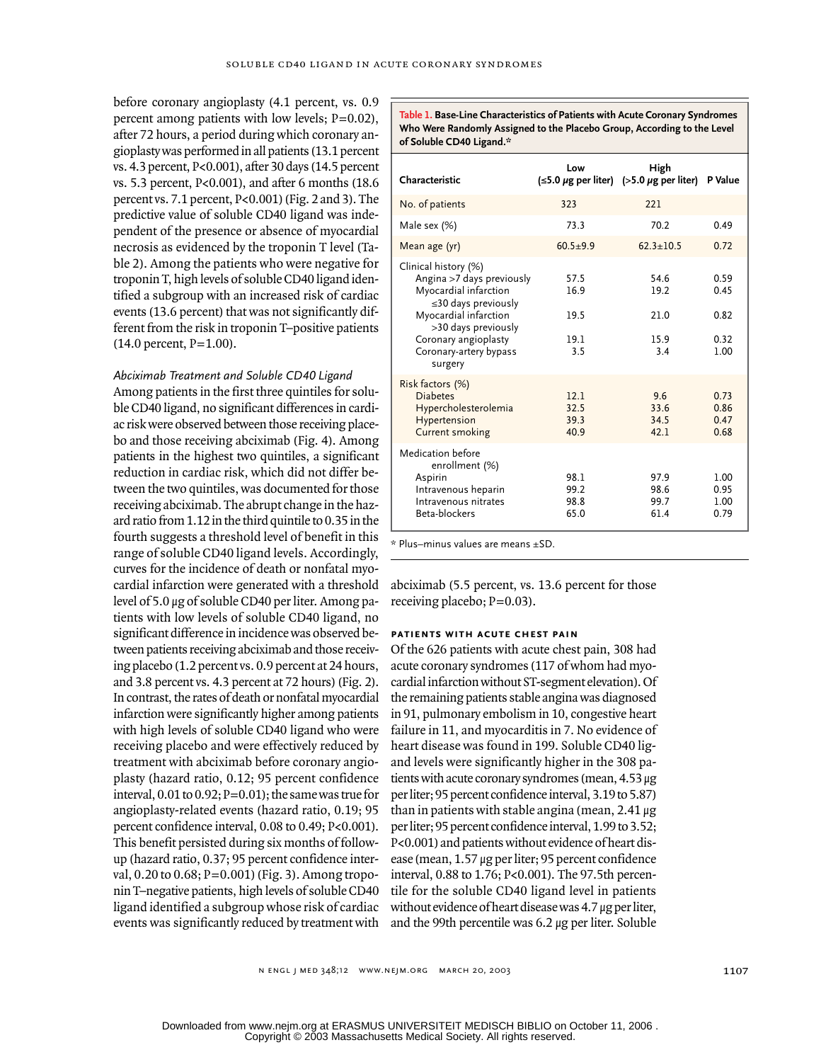before coronary angioplasty (4.1 percent, vs. 0.9 percent among patients with low levels; P=0.02), after 72 hours, a period during which coronary angioplasty was performed in all patients (13.1 percent vs. 4.3 percent, P<0.001), after 30 days (14.5 percent vs. 5.3 percent, P<0.001), and after 6 months (18.6 percent vs. 7.1 percent, P<0.001) (Fig. 2 and 3). The predictive value of soluble CD40 ligand was independent of the presence or absence of myocardial necrosis as evidenced by the troponin T level (Table 2). Among the patients who were negative for troponin T, high levels of soluble CD40 ligand identified a subgroup with an increased risk of cardiac events (13.6 percent) that was not significantly different from the risk in troponin T–positive patients (14.0 percent, P=1.00).

*Abciximab Treatment and Soluble CD40 Ligand* Among patients in the first three quintiles for soluble CD40 ligand, no significant differences in cardiac risk were observed between those receiving placebo and those receiving abciximab (Fig. 4). Among patients in the highest two quintiles, a significant reduction in cardiac risk, which did not differ between the two quintiles, was documented for those receiving abciximab. The abrupt change in the hazard ratio from 1.12 in the third quintile to 0.35 in the fourth suggests a threshold level of benefit in this range of soluble CD40 ligand levels. Accordingly, curves for the incidence of death or nonfatal myocardial infarction were generated with a threshold level of 5.0 µg of soluble CD40 per liter. Among patients with low levels of soluble CD40 ligand, no significant difference in incidence was observed between patients receiving abciximab and those receiving placebo (1.2 percent vs. 0.9 percent at 24 hours, and 3.8 percent vs. 4.3 percent at 72 hours) (Fig. 2). In contrast, the rates of death or nonfatal myocardial infarction were significantly higher among patients with high levels of soluble CD40 ligand who were receiving placebo and were effectively reduced by treatment with abciximab before coronary angioplasty (hazard ratio, 0.12; 95 percent confidence interval,  $0.01$  to  $0.92$ ;  $P=0.01$ ); the same was true for angioplasty-related events (hazard ratio, 0.19; 95 percent confidence interval, 0.08 to 0.49; P<0.001). This benefit persisted during six months of followup (hazard ratio, 0.37; 95 percent confidence interval, 0.20 to 0.68; P=0.001) (Fig. 3). Among troponin T–negative patients, high levels of soluble CD40 ligand identified a subgroup whose risk of cardiac events was significantly reduced by treatment with

**Table 1. Base-Line Characteristics of Patients with Acute Coronary Syndromes Who Were Randomly Assigned to the Placebo Group, According to the Level of Soluble CD40 Ligand.\***

| Characteristic                                                                                                                                                                                                       | Low                                 | High<br>$(\leq 5.0 \ \mu g$ per liter) (>5.0 $\mu g$ per liter) | P Value                              |
|----------------------------------------------------------------------------------------------------------------------------------------------------------------------------------------------------------------------|-------------------------------------|-----------------------------------------------------------------|--------------------------------------|
| No. of patients                                                                                                                                                                                                      | 323                                 | 221                                                             |                                      |
| Male sex (%)                                                                                                                                                                                                         | 73.3                                | 70.2                                                            | 0.49                                 |
| Mean age (yr)                                                                                                                                                                                                        | $60.5 + 9.9$                        | $62.3 + 10.5$                                                   | 0.72                                 |
| Clinical history (%)<br>Angina >7 days previously<br>Myocardial infarction<br>$\leq$ 30 days previously<br>Myocardial infarction<br>>30 days previously<br>Coronary angioplasty<br>Coronary-artery bypass<br>surgery | 57.5<br>16.9<br>19.5<br>19.1<br>3.5 | 54.6<br>19.2<br>21.0<br>15.9<br>3.4                             | 0.59<br>0.45<br>0.82<br>0.32<br>1.00 |
| Risk factors (%)<br><b>Diabetes</b><br>Hypercholesterolemia<br>Hypertension<br><b>Current smoking</b>                                                                                                                | 12.1<br>32.5<br>39.3<br>40.9        | 9.6<br>33.6<br>34.5<br>42.1                                     | 0.73<br>0.86<br>0.47<br>0.68         |
| Medication before<br>enrollment (%)<br>Aspirin<br>Intravenous heparin<br>Intravenous nitrates<br>Beta-blockers                                                                                                       | 98.1<br>99.2<br>98.8<br>65.0        | 97.9<br>98.6<br>99.7<br>61.4                                    | 1.00<br>0.95<br>1.00<br>0.79         |

\* Plus–minus values are means ±SD.

abciximab (5.5 percent, vs. 13.6 percent for those receiving placebo;  $P=0.03$ ).

# **patients with acute chest pain**

Of the 626 patients with acute chest pain, 308 had acute coronary syndromes (117 of whom had myocardial infarction without ST-segment elevation). Of the remaining patients stable angina was diagnosed in 91, pulmonary embolism in 10, congestive heart failure in 11, and myocarditis in 7. No evidence of heart disease was found in 199. Soluble CD40 ligand levels were significantly higher in the 308 patients with acute coronary syndromes (mean, 4.53 µg per liter; 95 percent confidence interval, 3.19 to 5.87) than in patients with stable angina (mean,  $2.41 \mu$ g per liter; 95 percent confidence interval, 1.99 to 3.52; P<0.001) and patients without evidence of heart disease (mean, 1.57 µg per liter; 95 percent confidence interval, 0.88 to 1.76; P<0.001). The 97.5th percentile for the soluble CD40 ligand level in patients without evidence of heart disease was 4.7 µg per liter, and the 99th percentile was 6.2 µg per liter. Soluble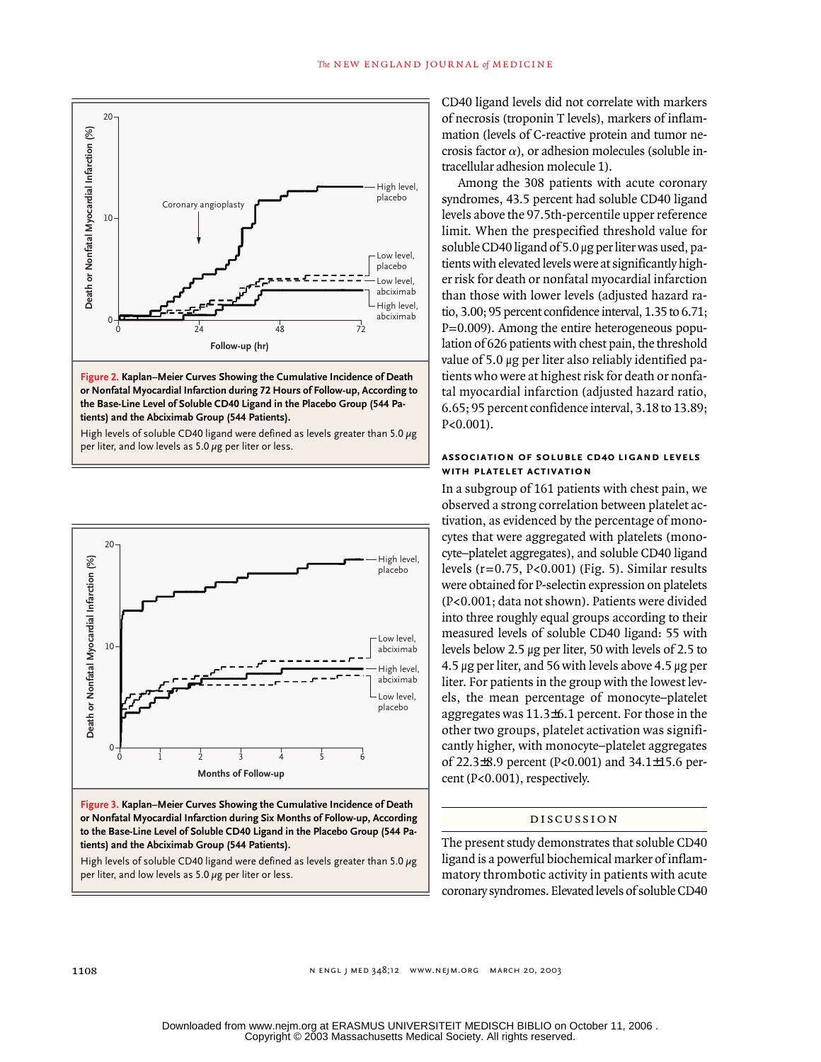



High levels of soluble CD40 ligand were defined as levels greater than 5.0  $\mu$ g per liter, and low levels as 5.0  $\mu$ g per liter or less.



**Figure 3. Kaplan–Meier Curves Showing the Cumulative Incidence of Death or Nonfatal Myocardial Infarction during Six Months of Follow-up, According to the Base-Line Level of Soluble CD40 Ligand in the Placebo Group (544 Patients) and the Abciximab Group (544 Patients).**

High levels of soluble CD40 ligand were defined as levels greater than 5.0  $\mu$ g per liter, and low levels as  $5.0 \mu$ g per liter or less.

CD40 ligand levels did not correlate with markers of necrosis (troponin T levels), markers of inflammation (levels of C-reactive protein and tumor necrosis factor  $\alpha$ ), or adhesion molecules (soluble intracellular adhesion molecule 1).

Among the 308 patients with acute coronary syndromes, 43.5 percent had soluble CD40 ligand levels above the 97.5th-percentile upper reference limit. When the prespecified threshold value for soluble CD40 ligand of 5.0 µg per liter was used, patients with elevated levels were at significantly higher risk for death or nonfatal myocardial infarction than those with lower levels (adjusted hazard ratio, 3.00; 95 percent confidence interval, 1.35 to 6.71; P=0.009). Among the entire heterogeneous population of 626 patients with chest pain, the threshold value of 5.0 µg per liter also reliably identified patients who were at highest risk for death or nonfatal myocardial infarction (adjusted hazard ratio, 6.65; 95 percent confidence interval, 3.18 to 13.89; P<0.001).

#### **association of soluble cd40 ligand levels with platelet activation**

In a subgroup of 161 patients with chest pain, we observed a strong correlation between platelet activation, as evidenced by the percentage of monocytes that were aggregated with platelets (monocyte–platelet aggregates), and soluble CD40 ligand levels (r=0.75, P<0.001) (Fig. 5). Similar results were obtained for P-selectin expression on platelets (P<0.001; data not shown). Patients were divided into three roughly equal groups according to their measured levels of soluble CD40 ligand: 55 with levels below 2.5 µg per liter, 50 with levels of 2.5 to 4.5 µg per liter, and 56 with levels above 4.5 µg per liter. For patients in the group with the lowest levels, the mean percentage of monocyte–platelet aggregates was 11.3±6.1 percent. For those in the other two groups, platelet activation was significantly higher, with monocyte–platelet aggregates of 22.3±8.9 percent (P<0.001) and 34.1±15.6 percent (P<0.001), respectively.

#### discussion

The present study demonstrates that soluble CD40 ligand is a powerful biochemical marker of inflammatory thrombotic activity in patients with acute coronary syndromes. Elevated levels of soluble CD40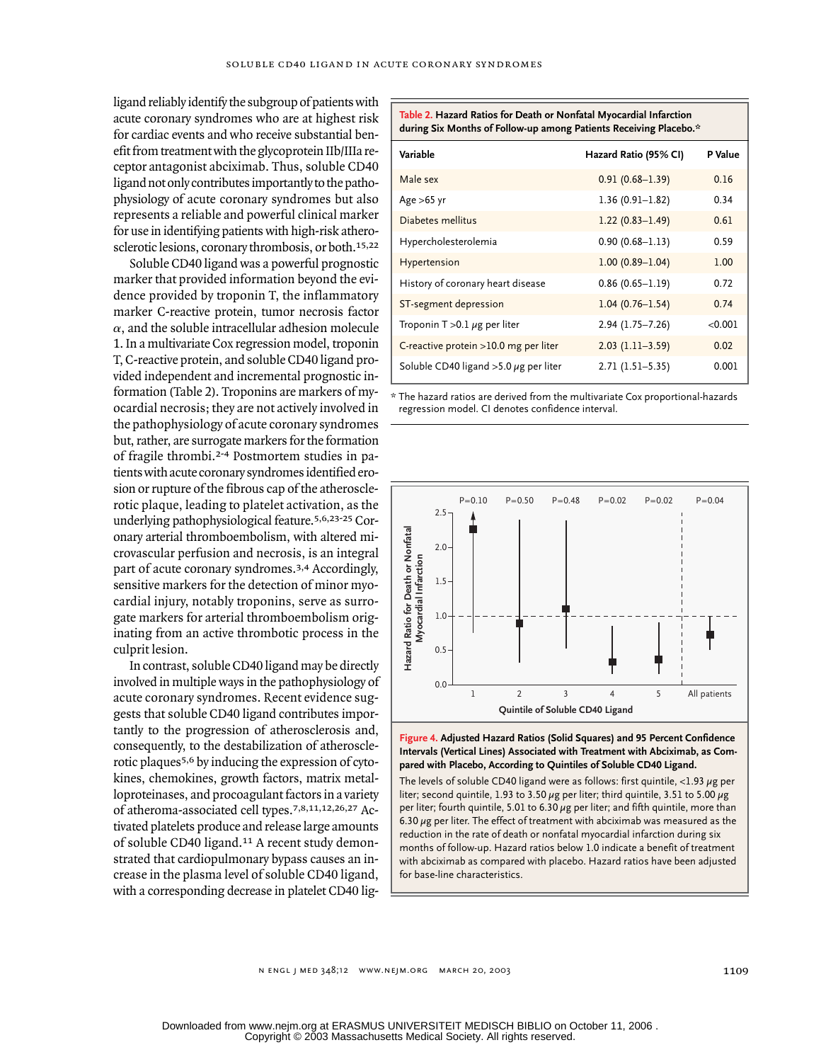ligand reliably identify the subgroup of patients with acute coronary syndromes who are at highest risk for cardiac events and who receive substantial benefit from treatment with the glycoprotein IIb/IIIa receptor antagonist abciximab. Thus, soluble CD40 ligand not only contributes importantly to the pathophysiology of acute coronary syndromes but also represents a reliable and powerful clinical marker for use in identifying patients with high-risk atherosclerotic lesions, coronary thrombosis, or both.15,22

Soluble CD40 ligand was a powerful prognostic marker that provided information beyond the evidence provided by troponin T, the inflammatory marker C-reactive protein, tumor necrosis factor  $\alpha$ , and the soluble intracellular adhesion molecule 1. In a multivariate Cox regression model, troponin T, C-reactive protein, and soluble CD40 ligand provided independent and incremental prognostic information (Table 2). Troponins are markers of myocardial necrosis; they are not actively involved in the pathophysiology of acute coronary syndromes but, rather, are surrogate markers for the formation of fragile thrombi.2-4 Postmortem studies in patients with acute coronary syndromes identified erosion or rupture of the fibrous cap of the atherosclerotic plaque, leading to platelet activation, as the underlying pathophysiological feature.5,6,23-25 Coronary arterial thromboembolism, with altered microvascular perfusion and necrosis, is an integral part of acute coronary syndromes.3,4 Accordingly, sensitive markers for the detection of minor myocardial injury, notably troponins, serve as surrogate markers for arterial thromboembolism originating from an active thrombotic process in the culprit lesion.

In contrast, soluble CD40 ligand may be directly involved in multiple ways in the pathophysiology of acute coronary syndromes. Recent evidence suggests that soluble CD40 ligand contributes importantly to the progression of atherosclerosis and, consequently, to the destabilization of atherosclerotic plaques5,6 by inducing the expression of cytokines, chemokines, growth factors, matrix metalloproteinases, and procoagulant factors in a variety of atheroma-associated cell types.7,8,11,12,26,27 Activated platelets produce and release large amounts of soluble CD40 ligand.11 A recent study demonstrated that cardiopulmonary bypass causes an increase in the plasma level of soluble CD40 ligand, with a corresponding decrease in platelet CD40 lig-

| during Six Months of Follow-up among Patients Receiving Placebo.* |                       |         |  |  |
|-------------------------------------------------------------------|-----------------------|---------|--|--|
| Variable                                                          | Hazard Ratio (95% CI) | P Value |  |  |
| Male sex                                                          | $0.91(0.68 - 1.39)$   | 0.16    |  |  |
| Age $>65$ yr                                                      | $1.36(0.91 - 1.82)$   | 0.34    |  |  |
| Diabetes mellitus                                                 | $1.22(0.83 - 1.49)$   | 0.61    |  |  |
| Hypercholesterolemia                                              | $0.90(0.68 - 1.13)$   | 0.59    |  |  |
| Hypertension                                                      | $1.00(0.89 - 1.04)$   | 1.00    |  |  |
| History of coronary heart disease                                 | $0.86(0.65 - 1.19)$   | 0.72    |  |  |
| ST-segment depression                                             | $1.04(0.76 - 1.54)$   | 0.74    |  |  |
| Troponin $T > 0.1 \mu g$ per liter                                | 2.94 (1.75-7.26)      | < 0.001 |  |  |
| C-reactive protein >10.0 mg per liter                             | $2.03(1.11-3.59)$     | 0.02    |  |  |
| Soluble CD40 ligand $>5.0 \mu$ g per liter                        | 2.71 (1.51-5.35)      | 0.001   |  |  |

**Table 2. Hazard Ratios for Death or Nonfatal Myocardial Infarction** 

\* The hazard ratios are derived from the multivariate Cox proportional-hazards regression model. CI denotes confidence interval.





The levels of soluble CD40 ligand were as follows: first quintile,  $<$ 1.93  $\mu$ g per liter; second quintile, 1.93 to 3.50  $\mu$ g per liter; third quintile, 3.51 to 5.00  $\mu$ g per liter; fourth quintile, 5.01 to 6.30  $\mu$ g per liter; and fifth quintile, more than 6.30  $\mu$ g per liter. The effect of treatment with abciximab was measured as the reduction in the rate of death or nonfatal myocardial infarction during six months of follow-up. Hazard ratios below 1.0 indicate a benefit of treatment with abciximab as compared with placebo. Hazard ratios have been adjusted for base-line characteristics.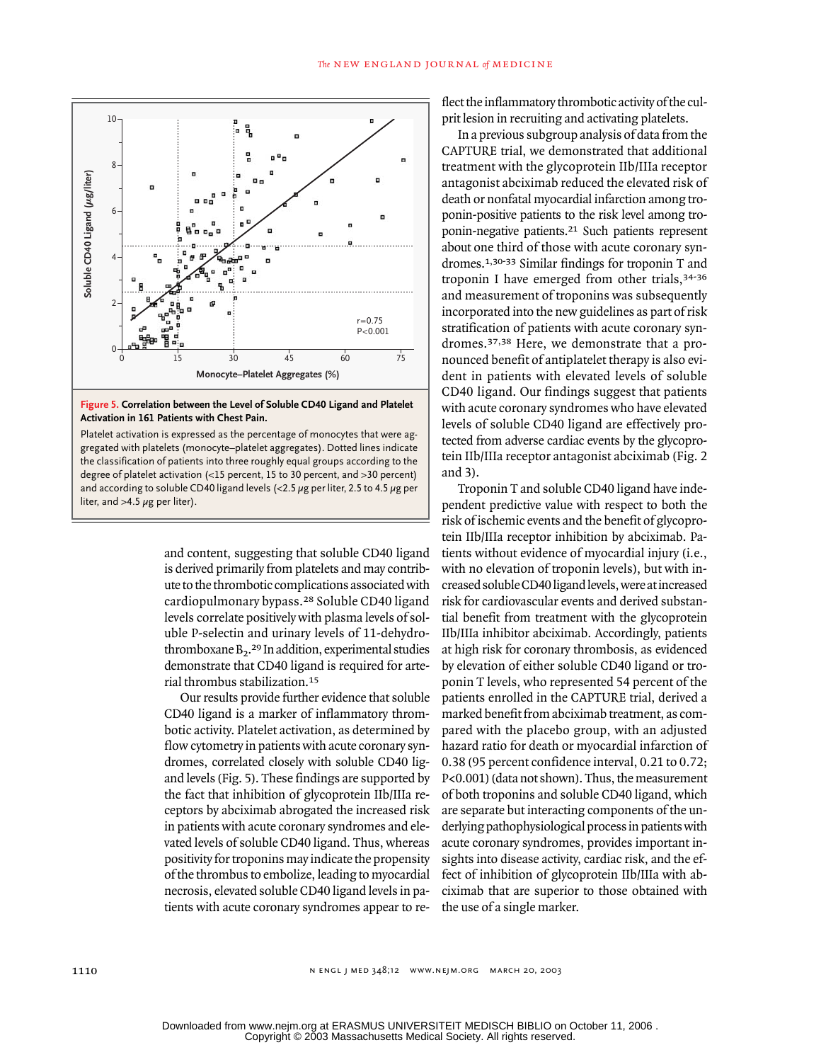

#### **Figure 5. Correlation between the Level of Soluble CD40 Ligand and Platelet Activation in 161 Patients with Chest Pain.**

Platelet activation is expressed as the percentage of monocytes that were aggregated with platelets (monocyte–platelet aggregates). Dotted lines indicate the classification of patients into three roughly equal groups according to the degree of platelet activation (<15 percent, 15 to 30 percent, and >30 percent) and according to soluble CD40 ligand levels  $\ll$  2.5  $\mu$ g per liter, 2.5 to 4.5  $\mu$ g per

> and content, suggesting that soluble CD40 ligand is derived primarily from platelets and may contribute to the thrombotic complications associated with cardiopulmonary bypass.28 Soluble CD40 ligand levels correlate positively with plasma levels of soluble P-selectin and urinary levels of 11-dehydrothromboxane  $B_2$ .<sup>29</sup> In addition, experimental studies demonstrate that CD40 ligand is required for arterial thrombus stabilization.<sup>15</sup>

> Our results provide further evidence that soluble CD40 ligand is a marker of inflammatory thrombotic activity. Platelet activation, as determined by flow cytometry in patients with acute coronary syndromes, correlated closely with soluble CD40 ligand levels (Fig. 5). These findings are supported by the fact that inhibition of glycoprotein IIb/IIIa receptors by abciximab abrogated the increased risk in patients with acute coronary syndromes and elevated levels of soluble CD40 ligand. Thus, whereas positivity for troponins may indicate the propensity of the thrombus to embolize, leading to myocardial necrosis, elevated soluble CD40 ligand levels in patients with acute coronary syndromes appear to re-

flect the inflammatory thrombotic activity of the culprit lesion in recruiting and activating platelets.

In a previous subgroup analysis of data from the CAPTURE trial, we demonstrated that additional treatment with the glycoprotein IIb/IIIa receptor antagonist abciximab reduced the elevated risk of death or nonfatal myocardial infarction among troponin-positive patients to the risk level among troponin-negative patients.21 Such patients represent about one third of those with acute coronary syndromes.1,30-33 Similar findings for troponin T and troponin I have emerged from other trials,34-36 and measurement of troponins was subsequently incorporated into the new guidelines as part of risk stratification of patients with acute coronary syndromes.37,38 Here, we demonstrate that a pronounced benefit of antiplatelet therapy is also evident in patients with elevated levels of soluble CD40 ligand. Our findings suggest that patients with acute coronary syndromes who have elevated levels of soluble CD40 ligand are effectively protected from adverse cardiac events by the glycoprotein IIb/IIIa receptor antagonist abciximab (Fig. 2 and 3).

Troponin T and soluble CD40 ligand have independent predictive value with respect to both the risk of ischemic events and the benefit of glycoprotein IIb/IIIa receptor inhibition by abciximab. Patients without evidence of myocardial injury (i.e., with no elevation of troponin levels), but with increased soluble CD40 ligand levels, were at increased risk for cardiovascular events and derived substantial benefit from treatment with the glycoprotein IIb/IIIa inhibitor abciximab. Accordingly, patients at high risk for coronary thrombosis, as evidenced by elevation of either soluble CD40 ligand or troponin T levels, who represented 54 percent of the patients enrolled in the CAPTURE trial, derived a marked benefit from abciximab treatment, as compared with the placebo group, with an adjusted hazard ratio for death or myocardial infarction of 0.38 (95 percent confidence interval, 0.21 to 0.72; P<0.001) (data not shown). Thus, the measurement of both troponins and soluble CD40 ligand, which are separate but interacting components of the underlying pathophysiological process in patients with acute coronary syndromes, provides important insights into disease activity, cardiac risk, and the effect of inhibition of glycoprotein IIb/IIIa with abciximab that are superior to those obtained with the use of a single marker.